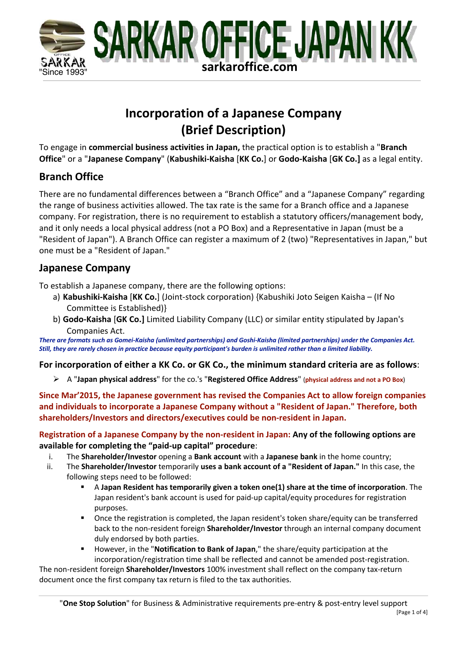

# **Incorporation of a Japanese Company (Brief Description)**

To engage in **commercial business activities in Japan,** the practical option is to establish a "**Branch Office**" or a "**Japanese Company**" (**Kabushiki-Kaisha** [**KK Co.**] or **Godo-Kaisha** [**GK Co.]** as a legal entity.

## **Branch Office**

There are no fundamental differences between a "Branch Office" and a "Japanese Company" regarding the range of business activities allowed. The tax rate is the same for a Branch office and a Japanese company. For registration, there is no requirement to establish a statutory officers/management body, and it only needs a local physical address (not a PO Box) and a Representative in Japan (must be a "Resident of Japan"). A Branch Office can register a maximum of 2 (two) "Representatives in Japan," but one must be a "Resident of Japan."

## **Japanese Company**

To establish a Japanese company, there are the following options:

- a) **Kabushiki-Kaisha** [**KK Co.**] (Joint-stock corporation) {Kabushiki Joto Seigen Kaisha (If No Committee is Established)}
- b) **Godo-Kaisha** [**GK Co.]** Limited Liability Company (LLC) or similar entity stipulated by Japan's Companies Act.

*There are formats such as Gomei-Kaisha (unlimited partnerships) and Goshi-Kaisha (limited partnerships) under the Companies Act. Still, they are rarely chosen in practice because equity participant's burden is unlimited rather than a limited liability.* 

### **For incorporation of either a KK Co. or GK Co., the minimum standard criteria are as follows**:

Ø A "**Japan physical address**" for the co.'s "**Registered Office Address**" (**physical address and not a PO Box**)

**Since Mar'2015, the Japanese government has revised the Companies Act to allow foreign companies and individuals to incorporate a Japanese Company without a "Resident of Japan." Therefore, both shareholders/Investors and directors/executives could be non-resident in Japan.** 

**Registration of a Japanese Company by the non-resident in Japan: Any of the following options are available for completing the "paid-up capital" procedure**:

- i. The **Shareholder/Investor** opening a **Bank account** with a **Japanese bank** in the home country;
- ii. The **Shareholder/Investor** temporarily **uses a bank account of a "Resident of Japan."** In this case, the following steps need to be followed:
	- § A **Japan Resident has temporarily given a token one(1) share at the time of incorporation**. The Japan resident's bank account is used for paid-up capital/equity procedures for registration purposes.
	- Once the registration is completed, the Japan resident's token share/equity can be transferred back to the non-resident foreign **Shareholder/Investor** through an internal company document duly endorsed by both parties.
	- § However, in the "**Notification to Bank of Japan**," the share/equity participation at the incorporation/registration time shall be reflected and cannot be amended post-registration.

The non-resident foreign **Shareholder/Investors** 100% investment shall reflect on the company tax-return document once the first company tax return is filed to the tax authorities.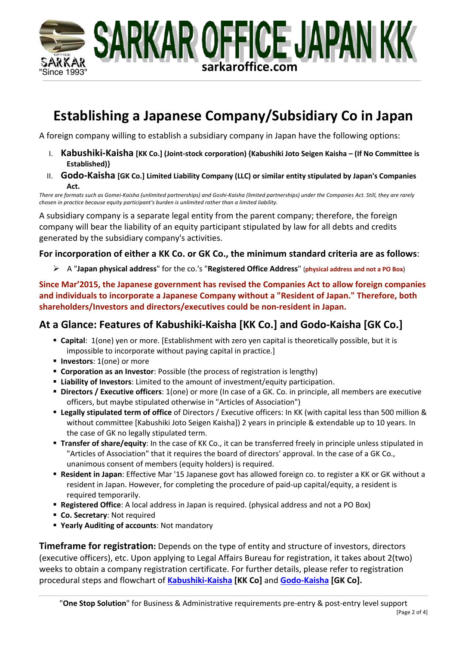

# **Establishing a Japanese Company/Subsidiary Co in Japan**

A foreign company willing to establish a subsidiary company in Japan have the following options:

- I. **Kabushiki-Kaisha [KK Co.] (Joint-stock corporation) {Kabushiki Joto Seigen Kaisha – (If No Committee is Established)}**
- II. **Godo-Kaisha [GK Co.] Limited Liability Company (LLC) or similar entity stipulated by Japan's Companies Act.**

*There are formats such as Gomei-Kaisha (unlimited partnerships) and Goshi-Kaisha (limited partnerships) under the Companies Act. Still, they are rarely chosen in practice because equity participant's burden is unlimited rather than a limited liability.* 

A subsidiary company is a separate legal entity from the parent company; therefore, the foreign company will bear the liability of an equity participant stipulated by law for all debts and credits generated by the subsidiary company's activities.

### **For incorporation of either a KK Co. or GK Co., the minimum standard criteria are as follows**:

Ø A "**Japan physical address**" for the co.'s "**Registered Office Address**" (**physical address and not a PO Box**)

**Since Mar'2015, the Japanese government has revised the Companies Act to allow foreign companies and individuals to incorporate a Japanese Company without a "Resident of Japan." Therefore, both shareholders/Investors and directors/executives could be non-resident in Japan.** 

## **At a Glance: Features of Kabushiki-Kaisha [KK Co.] and Godo-Kaisha [GK Co.]**

- § **Capital**: 1(one) yen or more. [Establishment with zero yen capital is theoretically possible, but it is impossible to incorporate without paying capital in practice.]
- § **Investors**: 1(one) or more
- § **Corporation as an Investor**: Possible (the process of registration is lengthy)
- § **Liability of Investors**: Limited to the amount of investment/equity participation.
- § **Directors / Executive officers**: 1(one) or more (In case of a GK. Co. in principle, all members are executive officers, but maybe stipulated otherwise in "Articles of Association")
- § **Legally stipulated term of office** of Directors / Executive officers: In KK (with capital less than 500 million & without committee [Kabushiki Joto Seigen Kaisha]) 2 years in principle & extendable up to 10 years. In the case of GK no legally stipulated term.
- § **Transfer of share/equity**: In the case of KK Co., it can be transferred freely in principle unless stipulated in "Articles of Association" that it requires the board of directors' approval. In the case of a GK Co., unanimous consent of members (equity holders) is required.
- § **Resident in Japan**: Effective Mar '15 Japanese govt has allowed foreign co. to register a KK or GK without a resident in Japan. However, for completing the procedure of paid-up capital/equity, a resident is required temporarily.
- § **Registered Office**: A local address in Japan is required. (physical address and not a PO Box)
- § **Co. Secretary**: Not required
- § **Yearly Auditing of accounts**: Not mandatory

**Timeframe for registration:** Depends on the type of entity and structure of investors, directors (executive officers), etc. Upon applying to Legal Affairs Bureau for registration, it takes about 2(two) weeks to obtain a company registration certificate. For further details, please refer to registration procedural steps and flowchart of **Kabushiki-Kaisha [KK Co]** and **Godo-Kaisha [GK Co].**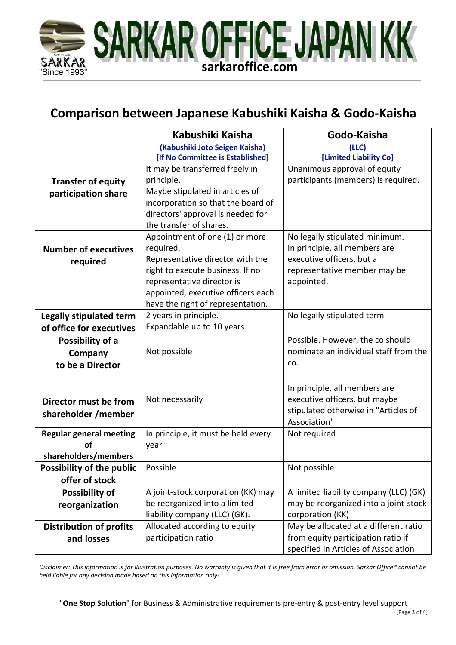

# **Comparison between Japanese Kabushiki Kaisha & Godo-Kaisha**

|                                  | Kabushiki Kaisha                                                       | Godo-Kaisha                            |  |
|----------------------------------|------------------------------------------------------------------------|----------------------------------------|--|
|                                  | (Kabushiki Joto Seigen Kaisha)                                         | (LLC)                                  |  |
|                                  | [If No Committee is Established]                                       | [Limited Liability Co]                 |  |
|                                  | It may be transferred freely in                                        | Unanimous approval of equity           |  |
| <b>Transfer of equity</b>        | principle.                                                             | participants (members) is required.    |  |
| participation share              | Maybe stipulated in articles of                                        |                                        |  |
|                                  | incorporation so that the board of                                     |                                        |  |
|                                  | directors' approval is needed for                                      |                                        |  |
|                                  | the transfer of shares.                                                |                                        |  |
|                                  | Appointment of one (1) or more                                         | No legally stipulated minimum.         |  |
| <b>Number of executives</b>      | required.                                                              | In principle, all members are          |  |
| required                         | Representative director with the                                       | executive officers, but a              |  |
|                                  | right to execute business. If no                                       | representative member may be           |  |
|                                  | representative director is                                             | appointed.                             |  |
|                                  | appointed, executive officers each                                     |                                        |  |
|                                  | have the right of representation.                                      |                                        |  |
| <b>Legally stipulated term</b>   | 2 years in principle.                                                  | No legally stipulated term             |  |
| of office for executives         | Expandable up to 10 years                                              |                                        |  |
| Possibility of a                 |                                                                        | Possible. However, the co should       |  |
| Company                          | Not possible                                                           | nominate an individual staff from the  |  |
| to be a Director                 |                                                                        | CO.                                    |  |
|                                  |                                                                        |                                        |  |
|                                  |                                                                        | In principle, all members are          |  |
| Director must be from            | Not necessarily                                                        | executive officers, but maybe          |  |
| shareholder / member             |                                                                        | stipulated otherwise in "Articles of   |  |
|                                  |                                                                        | Association"                           |  |
| <b>Regular general meeting</b>   | In principle, it must be held every                                    | Not required                           |  |
| Ωf                               | year                                                                   |                                        |  |
| shareholders/members             |                                                                        |                                        |  |
| <b>Possibility of the public</b> | Possible<br>Not possible                                               |                                        |  |
| offer of stock                   |                                                                        |                                        |  |
| Possibility of                   | A joint-stock corporation (KK) may                                     | A limited liability company (LLC) (GK) |  |
| reorganization                   | be reorganized into a limited<br>may be reorganized into a joint-stock |                                        |  |
|                                  | liability company (LLC) (GK).                                          | corporation (KK)                       |  |
| <b>Distribution of profits</b>   | Allocated according to equity                                          | May be allocated at a different ratio  |  |
| and losses                       | participation ratio                                                    | from equity participation ratio if     |  |
|                                  |                                                                        | specified in Articles of Association   |  |

*Disclaimer: This information is for illustration purposes. No warranty is given that it is free from error or omission. Sarkar Office® cannot be held liable for any decision made based on this information only!*